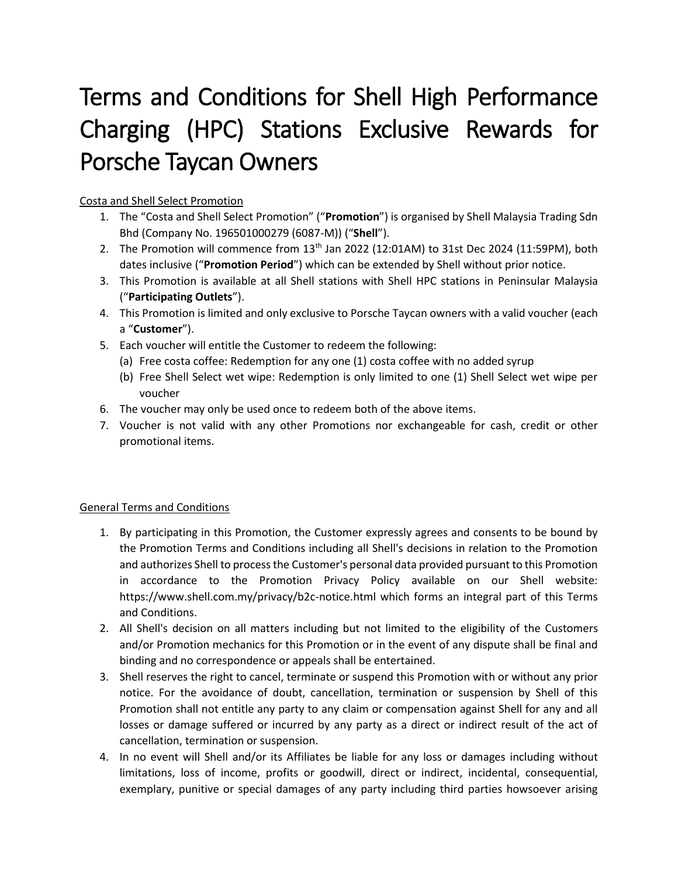## Terms and Conditions for Shell High Performance Charging (HPC) Stations Exclusive Rewards for Porsche Taycan Owners

## Costa and Shell Select Promotion

- 1. The "Costa and Shell Select Promotion" ("**Promotion**") is organised by Shell Malaysia Trading Sdn Bhd (Company No. 196501000279 (6087-M)) ("**Shell**").
- 2. The Promotion will commence from  $13<sup>th</sup>$  Jan 2022 (12:01AM) to 31st Dec 2024 (11:59PM), both dates inclusive ("**Promotion Period**") which can be extended by Shell without prior notice.
- 3. This Promotion is available at all Shell stations with Shell HPC stations in Peninsular Malaysia ("**Participating Outlets**").
- 4. This Promotion is limited and only exclusive to Porsche Taycan owners with a valid voucher (each a "**Customer**").
- 5. Each voucher will entitle the Customer to redeem the following:
	- (a) Free costa coffee: Redemption for any one (1) costa coffee with no added syrup
	- (b) Free Shell Select wet wipe: Redemption is only limited to one (1) Shell Select wet wipe per voucher
- 6. The voucher may only be used once to redeem both of the above items.
- 7. Voucher is not valid with any other Promotions nor exchangeable for cash, credit or other promotional items.

## General Terms and Conditions

- 1. By participating in this Promotion, the Customer expressly agrees and consents to be bound by the Promotion Terms and Conditions including all Shell's decisions in relation to the Promotion and authorizes Shell to process the Customer's personal data provided pursuant to this Promotion in accordance to the Promotion Privacy Policy available on our Shell website: https://www.shell.com.my/privacy/b2c-notice.html which forms an integral part of this Terms and Conditions.
- 2. All Shell's decision on all matters including but not limited to the eligibility of the Customers and/or Promotion mechanics for this Promotion or in the event of any dispute shall be final and binding and no correspondence or appeals shall be entertained.
- 3. Shell reserves the right to cancel, terminate or suspend this Promotion with or without any prior notice. For the avoidance of doubt, cancellation, termination or suspension by Shell of this Promotion shall not entitle any party to any claim or compensation against Shell for any and all losses or damage suffered or incurred by any party as a direct or indirect result of the act of cancellation, termination or suspension.
- 4. In no event will Shell and/or its Affiliates be liable for any loss or damages including without limitations, loss of income, profits or goodwill, direct or indirect, incidental, consequential, exemplary, punitive or special damages of any party including third parties howsoever arising